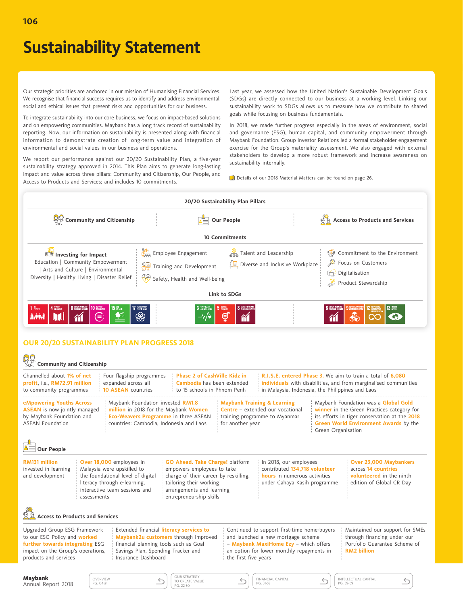Our strategic priorities are anchored in our mission of Humanising Financial Services. We recognise that financial success requires us to identify and address environmental, social and ethical issues that present risks and opportunities for our business.

To integrate sustainability into our core business, we focus on impact-based solutions and on empowering communities. Maybank has a long track record of sustainability reporting. Now, our information on sustainability is presented along with financial information to demonstrate creation of long-term value and integration of environmental and social values in our business and operations.

We report our performance against our 20/20 Sustainability Plan, a five-year sustainability strategy approved in 2014. This Plan aims to generate long-lasting impact and value across three pillars: Community and Citizenship, Our People, and Access to Products and Services; and includes 10 commitments.

Last year, we assessed how the United Nation's Sustainable Development Goals (SDGs) are directly connected to our business at a working level. Linking our sustainability work to SDGs allows us to measure how we contribute to shared goals while focusing on business fundamentals.

In 2018, we made further progress especially in the areas of environment, social and governance (ESG), human capital, and community empowerment through Maybank Foundation. Group Investor Relations led a formal stakeholder engagement exercise for the Group's materiality assessment. We also engaged with external stakeholders to develop a more robust framework and increase awareness on sustainability internally.

Details of our 2018 Material Matters can be found on page 26.

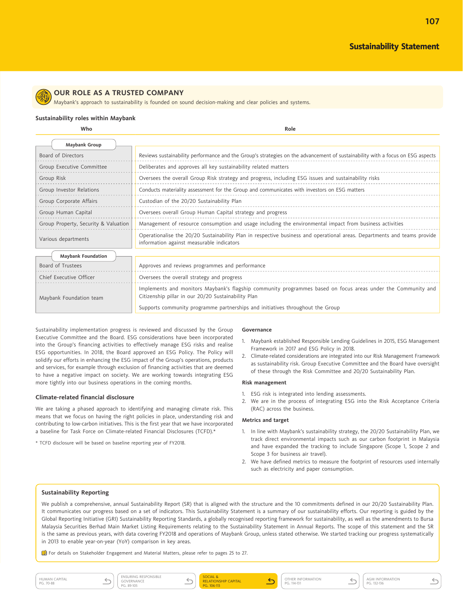**107**



### **OUR ROLE AS A TRUSTED COMPANY**

Maybank's approach to sustainability is founded on sound decision-making and clear policies and systems.

#### **Sustainability roles within Maybank**

**Who Role**

|                     | <b>Maybank Group</b>                 |                                                                                                                                                                       |
|---------------------|--------------------------------------|-----------------------------------------------------------------------------------------------------------------------------------------------------------------------|
|                     | Board of Directors                   | Reviews sustainability performance and the Group's strategies on the advancement of sustainability with a focus on ESG aspects                                        |
|                     | Group Executive Committee            | Deliberates and approves all key sustainability related matters                                                                                                       |
| Group Risk          |                                      | Oversees the overall Group Risk strategy and progress, including ESG issues and sustainability risks                                                                  |
|                     | Group Investor Relations             | Conducts materiality assessment for the Group and communicates with investors on ESG matters                                                                          |
|                     | Group Corporate Affairs              | Custodian of the 20/20 Sustainability Plan                                                                                                                            |
|                     | Group Human Capital                  | Oversees overall Group Human Capital strategy and progress                                                                                                            |
|                     | Group Property, Security & Valuation | Management of resource consumption and usage including the environmental impact from business activities                                                              |
| Various departments |                                      | Operationalise the 20/20 Sustainability Plan in respective business and operational areas. Departments and teams provide<br>information against measurable indicators |
|                     | <b>Maybank Foundation</b>            |                                                                                                                                                                       |
|                     | Board of Trustees                    | Approves and reviews programmes and performance                                                                                                                       |
|                     | Chief Executive Officer              | Oversees the overall strategy and progress                                                                                                                            |
|                     | Maybank Foundation team              | Implements and monitors Maybank's flagship community programmes based on focus areas under the Community and<br>Citizenship pillar in our 20/20 Sustainability Plan   |
|                     |                                      | Supports community programme partnerships and initiatives throughout the Group                                                                                        |

Sustainability implementation progress is reviewed and discussed by the Group Executive Committee and the Board. ESG considerations have been incorporated into the Group's financing activities to effectively manage ESG risks and realise ESG opportunities. In 2018, the Board approved an ESG Policy. The Policy will solidify our efforts in enhancing the ESG impact of the Group's operations, products and services, for example through exclusion of financing activities that are deemed to have a negative impact on society. We are working towards integrating ESG more tightly into our business operations in the coming months.

#### **Climate-related financial disclosure**

We are taking a phased approach to identifying and managing climate risk. This means that we focus on having the right policies in place, understanding risk and contributing to low-carbon initiatives. This is the first year that we have incorporated a baseline for Task Force on Climate-related Financial Disclosures (TCFD).\*

\* TCFD disclosure will be based on baseline reporting year of FY2018.

#### **Governance**

- 1. Maybank established Responsible Lending Guidelines in 2015, ESG Management Framework in 2017 and ESG Policy in 2018.
- 2. Climate-related considerations are integrated into our Risk Management Framework as sustainability risk. Group Executive Committee and the Board have oversight of these through the Risk Committee and 20/20 Sustainability Plan.

#### **Risk management**

- 1. ESG risk is integrated into lending assessments.
- 2. We are in the process of integrating ESG into the Risk Acceptance Criteria (RAC) across the business.

#### **Metrics and target**

- 1. In line with Maybank's sustainability strategy, the 20/20 Sustainability Plan, we track direct environmental impacts such as our carbon footprint in Malaysia and have expanded the tracking to include Singapore (Scope 1, Scope 2 and Scope 3 for business air travel).
- 2. We have defined metrics to measure the footprint of resources used internally such as electricity and paper consumption.

### **Sustainability Reporting**

We publish a comprehensive, annual Sustainability Report (SR) that is aligned with the structure and the 10 commitments defined in our 20/20 Sustainability Plan. It communicates our progress based on a set of indicators. This Sustainability Statement is a summary of our sustainability efforts. Our reporting is guided by the Global Reporting Initiative (GRI) Sustainability Reporting Standards, a globally recognised reporting framework for sustainability, as well as the amendments to Bursa Malaysia Securities Berhad Main Market Listing Requirements relating to the Sustainability Statement in Annual Reports. The scope of this statement and the SR is the same as previous years, with data covering FY2018 and operations of Maybank Group, unless stated otherwise. We started tracking our progress systematically in 2013 to enable year-on-year (YoY) comparison in key areas.

For details on Stakeholder Engagement and Material Matters, please refer to pages 25 to 27.



SOCIAL & RELATIONSHIP CAPITAL PG. 106-113

 $\leftarrow$ 

OTHER INFORMATION PG. 114-131



 $\leftrightarrow$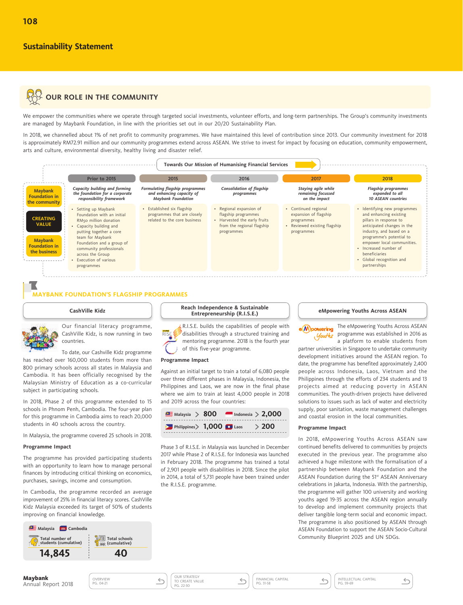# **ANY OUR ROLE IN THE COMMUNITY**

We empower the communities where we operate through targeted social investments, volunteer efforts, and long-term partnerships. The Group's community investments are managed by Maybank Foundation, in line with the priorities set out in our 20/20 Sustainability Plan.

In 2018, we channelled about 1% of net profit to community programmes. We have maintained this level of contribution since 2013. Our community investment for 2018 is approximately RM72.91 million and our community programmes extend across ASEAN. We strive to invest for impact by focusing on education, community empowerment, arts and culture, environmental diversity, healthy living and disaster relief.



#### **MAYBANK FOUNDATION'S FLAGSHIP PROGRAMMES**

#### CashVille Kidz

Our financial literacy programme, CashVille Kidz, is now running in two countries.

To date, our Cashville Kidz programme has reached over 160,000 students from more than 800 primary schools across all states in Malaysia and Cambodia. It has been officially recognised by the Malaysian Ministry of Education as a co-curricular subject in participating schools.

In 2018, Phase 2 of this programme extended to 15 schools in Phnom Penh, Cambodia. The four-year plan for this programme in Cambodia aims to reach 20,000 students in 40 schools across the country.

In Malaysia, the programme covered 25 schools in 2018.

#### Programme Impact

The programme has provided participating students with an opportunity to learn how to manage personal finances by introducing critical thinking on economics, purchases, savings, income and consumption.

In Cambodia, the programme recorded an average improvement of 25% in financial literacy scores. CashVille Kidz Malaysia exceeded its target of 50% of students improving on financial knowledge.



OVERVIEW<br>PG. 04-21

Reach Independence & Sustainable Entrepreneurship (R.I.S.E.)

R.I.S.E. builds the capabilities of people with disabilities through a structured training and mentoring programme. 2018 is the fourth year of this five-year programme.

#### **Programme Impact**

Against an initial target to train a total of 6,080 people over three different phases in Malaysia, Indonesia, the Philippines and Laos, we are now in the final phase where we aim to train at least 4,000 people in 2018 and 2019 across the four countries:

| $\blacksquare$ Malaysia > 800                                                            | $\blacksquare$ Indonesia > 2,000 |         |
|------------------------------------------------------------------------------------------|----------------------------------|---------|
| $\blacktriangleright$ Philippines $\blacktriangleright$ 1,000 $\blacktriangleright$ Laos |                                  | $>$ 200 |

Phase 3 of R.I.S.E. in Malaysia was launched in December 2017 while Phase 2 of RISE for Indonesia was launched in February 2018. The programme has trained a total of 2,901 people with disabilities in 2018. Since the pilot in 2014, a total of 5,731 people have been trained under the R.I.S.E. programme.

#### eMpowering Youths Across ASEAN

The eMpowering Youths Across ASEAN e Mpowering Youths programme was established in 2016 as a platform to enable students from

partner universities in Singapore to undertake community development initiatives around the ASEAN region. To date, the programme has benefited approximately 2,400 people across Indonesia, Laos, Vietnam and the Philippines through the efforts of 234 students and 13 projects aimed at reducing poverty in ASEAN communities. The youth-driven projects have delivered solutions to issues such as lack of water and electricity supply, poor sanitation, waste management challenges and coastal erosion in the local communities.

#### **Programme Impact**

In 2018, eMpowering Youths Across ASEAN saw continued benefits delivered to communities by projects executed in the previous vear. The programme also achieved a huge milestone with the formalisation of a partnership between Maybank Foundation and the ASEAN Foundation during the 51st ASEAN Anniversary celebrations in Jakarta, Indonesia. With the partnership, the programme will gather 100 university and working youths aged 19-35 across the ASEAN region annually to develop and implement community projects that deliver tangible long-term social and economic impact. The programme is also positioned by ASEAN through ASEAN Foundation to support the ASEAN Socio-Cultural Community Blueprint 2025 and UN SDGs.

 $\leftrightarrow$ 

**Maybank** Annual Report 2018



OUR STRATEGY<br>TO CREATE VALUE

PG. 22-30

**FINANCIAL CAPITAL** PG. 31-58

 $\leftarrow$ 

INTELLECTUAL CAPITAL  $\leftarrow$ PG. 59-69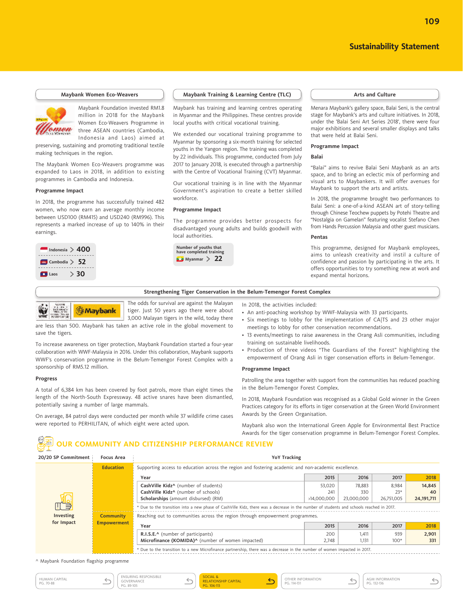**109**

#### **Maybank Women Eco-Weavers**



Maybank Foundation invested RM1.8 million in 2018 for the Maybank Women Eco-Weavers Programme in three ASEAN countries (Cambodia, Indonesia and Laos) aimed at

preserving, sustaining and promoting traditional textile making techniques in the region.

The Maybank Women Eco-Weavers programme was expanded to Laos in 2018, in addition to existing programmes in Cambodia and Indonesia.

#### **Programme Impact**

In 2018, the programme has successfully trained 482 women, who now earn an average monthly income between USD100 (RM415) and USD240 (RM996). This represents a marked increase of up to 140% in their earnings.

**Maybank** 



#### **Maybank Training & Learning Centre (TLC)**  $\qquad$  **Arts and Culture**

Maybank has training and learning centres operating in Myanmar and the Philippines. These centres provide local youths with critical vocational training.

We extended our vocational training programme to Myanmar by sponsoring a six-month training for selected youths in the Yangon region. The training was completed by 22 individuals. This programme, conducted from July 2017 to January 2018, is executed through a partnership with the Centre of Vocational Training (CVT) Myanmar.

Our vocational training is in line with the Myanmar Government's aspiration to create a better skilled workforce.

#### **Programme Impact**

The programme provides better prospects for disadvantaged young adults and builds goodwill with local authorities.



Menara Maybank's gallery space, Balai Seni, is the central stage for Maybank's arts and culture initiatives. In 2018, under the 'Balai Seni Art Series 2018', there were four major exhibitions and several smaller displays and talks that were held at Balai Seni.

#### **Programme Impact**

#### **Balai**

"Balai" aims to revive Balai Seni Maybank as an arts space, and to bring an eclectic mix of performing and visual arts to Maybankers. It will offer avenues for Maybank to support the arts and artists.

In 2018, the programme brought two performances to Balai Seni: a one-of-a-kind ASEAN art of story-telling through Chinese Teochew puppets by Potehi Theatre and "Nostalgia on Gamelan" featuring vocalist Stefano Chen from Hands Percussion Malaysia and other guest musicians.

#### **Pentas**

This programme, designed for Maybank employees, aims to unleash creativity and instil a culture of confidence and passion by participating in the arts. It offers opportunities to try something new at work and expand mental horizons.

#### **Strengthening Tiger Conservation in the Belum-Temengor Forest Complex**

The odds for survival are against the Malayan tiger. Just 50 years ago there were about 3,000 Malayan tigers in the wild, today there

are less than 500. Maybank has taken an active role in the global movement to save the tigers.

To increase awareness on tiger protection, Maybank Foundation started a four-year collaboration with WWF-Malaysia in 2016. Under this collaboration, Maybank supports WWF's conservation programme in the Belum-Temengor Forest Complex with a sponsorship of RM5.12 million.

#### **Progress**

A total of 6,384 km has been covered by foot patrols, more than eight times the length of the North-South Expressway. 48 active snares have been dismantled, potentially saving a number of large mammals.

On average, 84 patrol days were conducted per month while 37 wildlife crime cases were reported to PERHILITAN, of which eight were acted upon.

In 2018, the activities included:

- An anti-poaching workshop by WWF-Malaysia with 33 participants.
- Six meetings to lobby for the implementation of CA|TS and 23 other major meetings to lobby for other conservation recommendations.
- 13 events/meetings to raise awareness in the Orang Asli communities, including training on sustainable livelihoods.
- Production of three videos "The Guardians of the Forest" highlighting the empowerment of Orang Asli in tiger conservation efforts in Belum-Temengor.

#### **Programme Impact**

Patrolling the area together with support from the communities has reduced poaching in the Belum-Temengor Forest Complex.

In 2018, Maybank Foundation was recognised as a Global Gold winner in the Green Practices category for its efforts in tiger conservation at the Green World Environment Awards by the Green Organisation.

Maybank also won the International Green Apple for Environmental Best Practice Awards for the tiger conservation programme in Belum-Temengor Forest Complex.

# **OUR COMMUNITY AND CITIZENSHIP PERFORMANCE REVIEW**

| 20/20 SP Commitment | <b>Focus Area</b>  | <b>YoY Tracking</b>                                                                                                                     |             |            |            |              |  |  |
|---------------------|--------------------|-----------------------------------------------------------------------------------------------------------------------------------------|-------------|------------|------------|--------------|--|--|
|                     | <b>Education</b>   | Supporting access to education across the region and fostering academic and non-academic excellence.                                    |             |            |            |              |  |  |
|                     |                    | Year                                                                                                                                    | 2015        | 2016       | 2017       | 2018         |  |  |
|                     |                    | CashVille Kidz <sup>^</sup> (number of students)                                                                                        | 53,020      | 78,883     | 8,984      | 14,845       |  |  |
|                     |                    | CashVille Kidz <sup>^</sup> (number of schools)                                                                                         | 241         | 330        | $23*$      | 40           |  |  |
|                     |                    | <b>Scholarships</b> (amount disbursed) (RM)                                                                                             | >14,000,000 | 23,000,000 | 26,751,005 | 24, 191, 711 |  |  |
| ∏ ∃                 |                    | * Due to the transition into a new phase of CashVille Kidz, there was a decrease in the number of students and schools reached in 2017. |             |            |            |              |  |  |
| Investing           | <b>Community</b>   | Reaching out to communities across the region through empowerment programmes.                                                           |             |            |            |              |  |  |
| for Impact          | <b>Empowerment</b> | Year                                                                                                                                    | 2015        | 2016       | 2017       | 2018         |  |  |
|                     |                    | <b>R.I.S.E.^</b> (number of participants)                                                                                               | 200         | 1,411      | 939        | 2,901        |  |  |
|                     |                    | Microfinance (KOMIDA) <sup>^</sup> (number of women impacted)                                                                           | 2,748       | 1,131      | $100*$     | 331          |  |  |
|                     |                    | * Due to the transition to a new Microfinance partnership, there was a decrease in the number of women impacted in 2017.                |             |            |            |              |  |  |

^ Maybank Foundation flagship programme



OTHER INFORMATION PG. 114-131

AGM INFORMATION  $\leftarrow$ PG. 132-136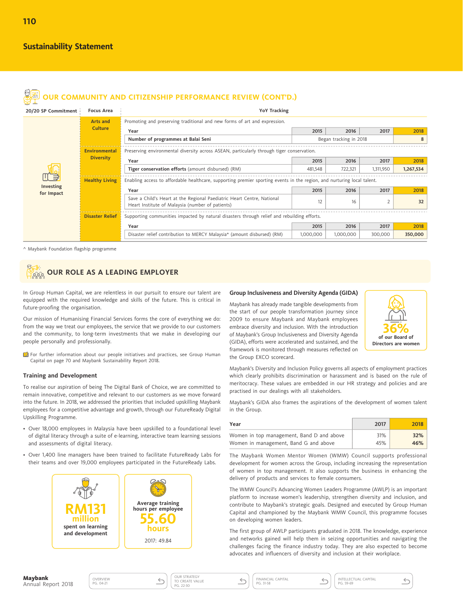| $\mathbb{Q}$        |                        | OUR COMMUNITY AND CITIZENSHIP PERFORMANCE REVIEW (CONT'D.)                                                                 |           |                        |           |           |  |  |
|---------------------|------------------------|----------------------------------------------------------------------------------------------------------------------------|-----------|------------------------|-----------|-----------|--|--|
| 20/20 SP Commitment | <b>Focus Area</b>      | <b>YoY Tracking</b>                                                                                                        |           |                        |           |           |  |  |
|                     | <b>Arts and</b>        | Promoting and preserving traditional and new forms of art and expression.                                                  |           |                        |           |           |  |  |
|                     | <b>Culture</b>         | Year                                                                                                                       | 2015      | 2016                   | 2017      | 2018      |  |  |
|                     |                        | Number of programmes at Balai Seni                                                                                         |           | Began tracking in 2018 |           | 8         |  |  |
|                     | <b>Environmental</b>   | Preserving environmental diversity across ASEAN, particularly through tiger conservation.                                  |           |                        |           |           |  |  |
|                     | <b>Diversity</b>       | Year                                                                                                                       | 2015      | 2016                   | 2017      | 2018      |  |  |
|                     |                        | Tiger conservation efforts (amount disbursed) (RM)                                                                         | 481,548   | 722,321                | 1,311,950 | 1,267,534 |  |  |
| Investing           | <b>Healthy Living</b>  | Enabling access to affordable healthcare, supporting premier sporting events in the region, and nurturing local talent.    |           |                        |           |           |  |  |
| for Impact          |                        | Year                                                                                                                       | 2015      | 2016                   | 2017      | 2018      |  |  |
|                     |                        | Save a Child's Heart at the Regional Paediatric Heart Centre, National<br>Heart Institute of Malaysia (number of patients) | 12        | 16                     |           | 32        |  |  |
|                     | <b>Disaster Relief</b> | Supporting communities impacted by natural disasters through relief and rebuilding efforts.                                |           |                        |           |           |  |  |
|                     |                        | Year                                                                                                                       | 2015      | 2016                   | 2017      | 2018      |  |  |
|                     |                        | Disaster relief contribution to MERCY Malaysia* (amount disbursed) (RM)                                                    | 1,000,000 | 1,000,000              | 300,000   | 350,000   |  |  |

^ Maybank Foundation flagship programme

#### **OUR ROLE AS A LEADING EMPLOYER** eee

In Group Human Capital, we are relentless in our pursuit to ensure our talent are equipped with the required knowledge and skills of the future. This is critical in future-proofing the organisation.

Our mission of Humanising Financial Services forms the core of everything we do: from the way we treat our employees, the service that we provide to our customers and the community, to long-term investments that we make in developing our people personally and professionally.

 For further information about our people initiatives and practices, see Group Human Capital on page 70 and Maybank Sustainability Report 2018.

#### **Training and Development**

To realise our aspiration of being The Digital Bank of Choice, we are committed to remain innovative, competitive and relevant to our customers as we move forward into the future. In 2018, we addressed the priorities that included upskilling Maybank employees for a competitive advantage and growth, through our FutureReady Digital Upskilling Programme.

- Over 18,000 employees in Malaysia have been upskilled to a foundational level of digital literacy through a suite of e-learning, interactive team learning sessions and assessments of digital literacy.
- Over 1,400 line managers have been trained to facilitate FutureReady Labs for their teams and over 19,000 employees participated in the FutureReady Labs.



OVERVIEW<br>PG. 04-21

#### **Group Inclusiveness and Diversity Agenda (GIDA)**

Maybank has already made tangible developments from the start of our people transformation journey since 2009 to ensure Maybank and Maybank employees embrace diversity and inclusion. With the introduction of Maybank's Group Inclusiveness and Diversity Agenda (GIDA), efforts were accelerated and sustained, and the framework is monitored through measures reflected on the Group EXCO scorecard.



Maybank's Diversity and Inclusion Policy governs all aspects of employment practices which clearly prohibits discrimination or harassment and is based on the rule of meritocracy. These values are embedded in our HR strategy and policies and are practised in our dealings with all stakeholders.

Maybank's GIDA also frames the aspirations of the development of women talent in the Group.

| Year                                      | 2017 | 2018 |
|-------------------------------------------|------|------|
| Women in top management, Band D and above | 31%  | 32%  |
| Women in management, Band G and above     | 45%  | 46%  |

The Maybank Women Mentor Women (WMW) Council supports professional development for women across the Group, including increasing the representation of women in top management. It also supports the business in enhancing the delivery of products and services to female consumers.

The WMW Council's Advancing Women Leaders Programme (AWLP) is an important platform to increase women's leadership, strengthen diversity and inclusion, and contribute to Maybank's strategic goals. Designed and executed by Group Human Capital and championed by the Maybank WMW Council, this programme focuses on developing women leaders.

The first group of AWLP participants graduated in 2018. The knowledge, experience and networks gained will help them in seizing opportunities and navigating the challenges facing the finance industry today. They are also expected to become advocates and influencers of diversity and inclusion at their workplace.

 $\leftarrow$ 

OUR STRATEGY TO CREATE VALUE  $\leftarrow$ PG. 22-30

 $\leftarrow$ PG. 31-58



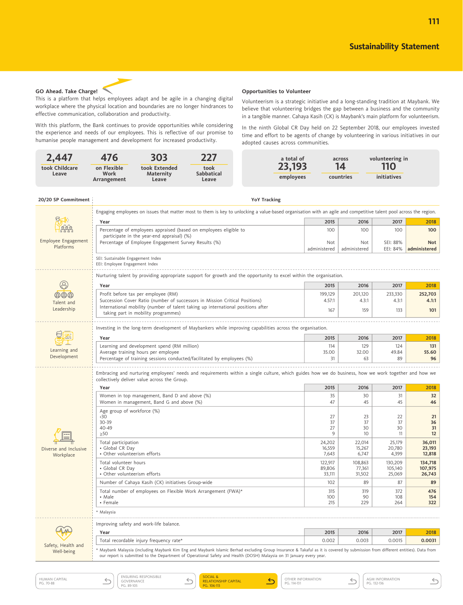**111**



This is a platform that helps employees adapt and be agile in a changing digital workplace where the physical location and boundaries are no longer hindrances to effective communication, collaboration and productivity.

With this platform, the Bank continues to provide opportunities while considering the experience and needs of our employees. This is reflective of our promise to humanise people management and development for increased productivity.

**Opportunities to Volunteer**

Volunteerism is a strategic initiative and a long-standing tradition at Maybank. We believe that volunteering bridges the gap between a business and the community in a tangible manner. Cahaya Kasih (CK) is Maybank's main platform for volunteerism.

In the ninth Global CR Day held on 22 September 2018, our employees invested time and effort to be agents of change by volunteering in various initiatives in our adopted causes across communities.

| Leave                            | on Flexible<br>Work<br>Arrangement                                                                                 | 476<br>303<br>227<br>took Extended<br>took<br><b>Maternity</b><br><b>Sabbatical</b><br>Leave<br>Leave |                                                                                                                                                                                                                                                                                                         | a total of<br>23,193<br>employees |                   | across<br>14<br>countries | volunteering in<br>110<br>initiatives |                                                                                                               |
|----------------------------------|--------------------------------------------------------------------------------------------------------------------|-------------------------------------------------------------------------------------------------------|---------------------------------------------------------------------------------------------------------------------------------------------------------------------------------------------------------------------------------------------------------------------------------------------------------|-----------------------------------|-------------------|---------------------------|---------------------------------------|---------------------------------------------------------------------------------------------------------------|
| 20/20 SP Commitment              |                                                                                                                    |                                                                                                       |                                                                                                                                                                                                                                                                                                         | <b>YoY Tracking</b>               |                   |                           |                                       |                                                                                                               |
|                                  |                                                                                                                    |                                                                                                       | Engaging employees on issues that matter most to them is key to unlocking a value-based organisation with an agile and competitive talent pool across the region.                                                                                                                                       |                                   |                   |                           |                                       |                                                                                                               |
|                                  | Year                                                                                                               |                                                                                                       |                                                                                                                                                                                                                                                                                                         |                                   | 2015              | 2016                      | 2017                                  | 2018                                                                                                          |
| Employee Engagement              |                                                                                                                    | participate in the year-end appraisal) (%)                                                            | Percentage of employees appraised (based on employees eligible to                                                                                                                                                                                                                                       |                                   | 100<br>Not        | 100<br>Not                | 100<br>SEI: 88%                       | 100<br><b>Not</b>                                                                                             |
| Platforms                        |                                                                                                                    | Percentage of Employee Engagement Survey Results (%)                                                  |                                                                                                                                                                                                                                                                                                         |                                   | administered      | administered              | EEI: 84%                              | administered                                                                                                  |
|                                  | SEI: Sustainable Engagement Index<br>EEI: Employee Engagement Index                                                |                                                                                                       |                                                                                                                                                                                                                                                                                                         |                                   |                   |                           |                                       |                                                                                                               |
|                                  |                                                                                                                    |                                                                                                       | Nurturing talent by providing appropriate support for growth and the opportunity to excel within the organisation.                                                                                                                                                                                      |                                   |                   |                           |                                       |                                                                                                               |
| B                                | Year                                                                                                               |                                                                                                       |                                                                                                                                                                                                                                                                                                         |                                   | 2015              | 2016                      | 2017                                  | 2018                                                                                                          |
| @@@                              |                                                                                                                    | Profit before tax per employee (RM)                                                                   |                                                                                                                                                                                                                                                                                                         |                                   | 199,129           | 201,120                   | 233,330                               | 252,703                                                                                                       |
| Talent and                       |                                                                                                                    |                                                                                                       | Succession Cover Ratio (number of successors in Mission Critical Positions)                                                                                                                                                                                                                             |                                   | 4.57:1            | 4.3:1                     | 4.3:1                                 | 4.1:1                                                                                                         |
| Leadership                       |                                                                                                                    | taking part in mobility programmes)                                                                   | International mobility (number of talent taking up international positions after                                                                                                                                                                                                                        |                                   | 167               | 159                       | 133                                   | 101                                                                                                           |
|                                  |                                                                                                                    |                                                                                                       |                                                                                                                                                                                                                                                                                                         |                                   |                   |                           |                                       |                                                                                                               |
|                                  | Investing in the long-term development of Maybankers while improving capabilities across the organisation.<br>Year |                                                                                                       |                                                                                                                                                                                                                                                                                                         |                                   |                   | 2016                      | 2017                                  | 2018                                                                                                          |
|                                  | Learning and development spend (RM million)                                                                        |                                                                                                       |                                                                                                                                                                                                                                                                                                         | 2015<br>114                       | 129               | 124                       | 131                                   |                                                                                                               |
| Learning and<br>Development      | Average training hours per employee                                                                                |                                                                                                       |                                                                                                                                                                                                                                                                                                         |                                   | 35.00<br>31       | 32.00                     | 49.84                                 | 55.60                                                                                                         |
|                                  | Percentage of training sessions conducted/facilitated by employees (%)                                             |                                                                                                       |                                                                                                                                                                                                                                                                                                         |                                   |                   | 63                        | 89                                    | 96                                                                                                            |
|                                  |                                                                                                                    |                                                                                                       |                                                                                                                                                                                                                                                                                                         |                                   |                   |                           |                                       |                                                                                                               |
|                                  |                                                                                                                    | collectively deliver value across the Group.                                                          | Embracing and nurturing employees' needs and requirements within a single culture, which guides how we do business, how we work together and how we                                                                                                                                                     |                                   |                   |                           |                                       |                                                                                                               |
|                                  | Year                                                                                                               |                                                                                                       |                                                                                                                                                                                                                                                                                                         |                                   | 2015              | 2016                      | 2017                                  | 2018                                                                                                          |
|                                  |                                                                                                                    | Women in top management, Band D and above (%)<br>Women in management, Band G and above (%)            |                                                                                                                                                                                                                                                                                                         |                                   | 35<br>47          | 30<br>45                  | 31<br>45                              | 32<br>46                                                                                                      |
|                                  | Age group of workforce (%)                                                                                         |                                                                                                       |                                                                                                                                                                                                                                                                                                         |                                   |                   |                           |                                       |                                                                                                               |
|                                  | 30 <sub>o</sub><br>30-39                                                                                           |                                                                                                       |                                                                                                                                                                                                                                                                                                         |                                   | 27<br>37          | 23<br>37                  | 22<br>37                              |                                                                                                               |
|                                  | 40-49                                                                                                              |                                                                                                       |                                                                                                                                                                                                                                                                                                         |                                   | 27                | 30                        | 30                                    |                                                                                                               |
|                                  | $\geq 50$<br>Total participation                                                                                   |                                                                                                       |                                                                                                                                                                                                                                                                                                         |                                   | 9                 | 10<br>22,014              | 11<br>25,179                          |                                                                                                               |
| Diverse and Inclusive            | • Global CR Day                                                                                                    |                                                                                                       |                                                                                                                                                                                                                                                                                                         |                                   | 24,202<br>16,559  | 15,267                    | 20,780                                |                                                                                                               |
| Workplace                        | • Other volunteerism efforts                                                                                       |                                                                                                       |                                                                                                                                                                                                                                                                                                         |                                   | 7,643             | 6,747                     | 4,399                                 |                                                                                                               |
|                                  | Total volunteer hours<br>• Global CR Day                                                                           |                                                                                                       |                                                                                                                                                                                                                                                                                                         |                                   | 122,917<br>89,806 | 108,863<br>77,361         | 130,209<br>105,140                    |                                                                                                               |
|                                  | • Other volunteerism efforts                                                                                       |                                                                                                       |                                                                                                                                                                                                                                                                                                         |                                   | 33,111            | 31,502                    | 25,069                                |                                                                                                               |
|                                  |                                                                                                                    | Number of Cahaya Kasih (CK) initiatives Group-wide                                                    |                                                                                                                                                                                                                                                                                                         |                                   | 102               | 89                        | 87                                    |                                                                                                               |
|                                  | • Male<br>• Female                                                                                                 |                                                                                                       | Total number of employees on Flexible Work Arrangement (FWA)*                                                                                                                                                                                                                                           |                                   | 315<br>100<br>215 | 319<br>90<br>229          | 372<br>108<br>264                     |                                                                                                               |
|                                  | * Malaysia                                                                                                         |                                                                                                       |                                                                                                                                                                                                                                                                                                         |                                   |                   |                           |                                       | 21<br>36<br>31<br>12<br>36,011<br>23,193<br>12,818<br>134,718<br>107,975<br>26,743<br>89<br>476<br>154<br>322 |
|                                  |                                                                                                                    | Improving safety and work-life balance.                                                               |                                                                                                                                                                                                                                                                                                         |                                   |                   |                           |                                       |                                                                                                               |
|                                  | Year                                                                                                               |                                                                                                       |                                                                                                                                                                                                                                                                                                         |                                   | 2015              | 2016                      | 2017                                  | 2018                                                                                                          |
| Safety, Health and<br>Well-being |                                                                                                                    | Total recordable injury frequency rate*                                                               | * Maybank Malaysia (including Maybank Kim Eng and Maybank Islamic Berhad excluding Group Insurance & Takaful as it is covered by submission from different entities). Data from<br>our report is submitted to the Department of Operational Safety and Health (DOSH) Malaysia on 31 January every year. |                                   | 0.002             | 0.003                     | 0.0015                                | 0.0031                                                                                                        |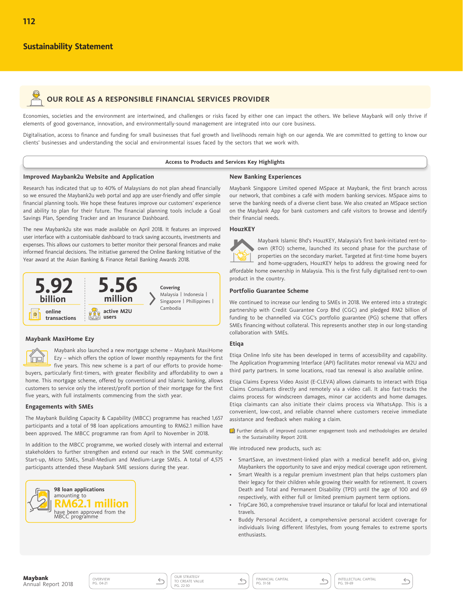# **OUR ROLE AS A RESPONSIBLE FINANCIAL SERVICES PROVIDER**

Economies, societies and the environment are intertwined, and challenges or risks faced by either one can impact the others. We believe Maybank will only thrive if elements of good governance, innovation, and environmentally-sound management are integrated into our core business.

Digitalisation, access to finance and funding for small businesses that fuel growth and livelihoods remain high on our agenda. We are committed to getting to know our clients' businesses and understanding the social and environmental issues faced by the sectors that we work with.

#### **Access to Products and Services Key Highlights**

#### **Improved Maybank2u Website and Application**

#### **New Banking Experiences**

Research has indicated that up to 40% of Malaysians do not plan ahead financially so we ensured the Maybank2u web portal and app are user-friendly and offer simple financial planning tools. We hope these features improve our customers' experience and ability to plan for their future. The financial planning tools include a Goal Savings Plan, Spending Tracker and an Insurance Dashboard.

The new Maybank2u site was made available on April 2018. It features an improved user interface with a customisable dashboard to track saving accounts, investments and expenses. This allows our customers to better monitor their personal finances and make informed financial decisions. The initiative garnered the Online Banking Initiative of the Year award at the Asian Banking & Finance Retail Banking Awards 2018.



#### **Maybank MaxiHome Ezy**

Maybank also launched a new mortgage scheme – Maybank MaxiHome Ĭπo Ezy – which offers the option of lower monthly repayments for the first five years. This new scheme is a part of our efforts to provide homebuyers, particularly first-timers, with greater flexibility and affordability to own a home. This mortgage scheme, offered by conventional and Islamic banking, allows customers to service only the interest/profit portion of their mortgage for the first five years, with full instalments commencing from the sixth year.

#### **Engagements with SMEs**

The Maybank Building Capacity & Capability (MBCC) programme has reached 1,657 participants and a total of 98 loan applications amounting to RM62.1 million have been approved. The MBCC programme ran from April to November in 2018.

In addition to the MBCC programme, we worked closely with internal and external stakeholders to further strengthen and extend our reach in the SME community: Start-up, Micro SMEs, Small-Medium and Medium-Large SMEs. A total of 4,575 participants attended these Maybank SME sessions during the year.



Maybank Singapore Limited opened MSpace at Maybank, the first branch across our network, that combines a café with modern banking services. MSpace aims to serve the banking needs of a diverse client base. We also created an MSpace section on the Maybank App for bank customers and café visitors to browse and identify their financial needs.

#### **HouzKEY**



Maybank Islamic Bhd's HouzKEY, Malaysia's first bank-initiated rent-toown (RTO) scheme, launched its second phase for the purchase of properties on the secondary market. Targeted at first-time home buyers and home-upgraders, HouzKEY helps to address the growing need for

affordable home ownership in Malaysia. This is the first fully digitalised rent-to-own product in the country.

#### **Portfolio Guarantee Scheme**

We continued to increase our lending to SMEs in 2018. We entered into a strategic partnership with Credit Guarantee Corp Bhd (CGC) and pledged RM2 billion of funding to be channelled via CGC's portfolio guarantee (PG) scheme that offers SMEs financing without collateral. This represents another step in our long-standing collaboration with SMEs.

#### **Etiqa**

Etiqa Online Info site has been developed in terms of accessibility and capability. The Application Programming Interface (API) facilitates motor renewal via M2U and third party partners. In some locations, road tax renewal is also available online.

Etiqa Claims Express Video Assist (E-CLEVA) allows claimants to interact with Etiqa Claims Consultants directly and remotely via a video call. It also fast-tracks the claims process for windscreen damages, minor car accidents and home damages. Etiqa claimants can also initiate their claims process via WhatsApp. This is a convenient, low-cost, and reliable channel where customers receive immediate assistance and feedback when making a claim.

 Further details of improved customer engagement tools and methodologies are detailed in the Sustainability Report 2018.

We introduced new products, such as:

- SmartSave, an investment-linked plan with a medical benefit add-on, giving Maybankers the opportunity to save and enjoy medical coverage upon retirement.
- Smart Wealth is a regular premium investment plan that helps customers plan their legacy for their children while growing their wealth for retirement. It covers Death and Total and Permanent Disability (TPD) until the age of 100 and 69 respectively, with either full or limited premium payment term options.
- TripCare 360, a comprehensive travel insurance or takaful for local and international travels.
- Buddy Personal Accident, a comprehensive personal accident coverage for individuals living different lifestyles, from young females to extreme sports enthusiasts.

 $\leftarrow$ 

OVERVIEW<br>PG. 04-21

OUR STRATEGY TO CREATE VALUE PG. 22-30

 $\leftarrow$ FINANCIAL CAPITAL PG. 31-58